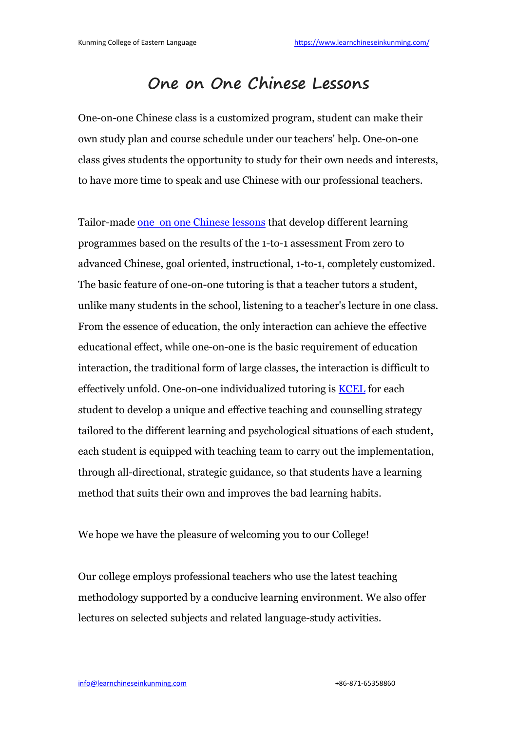## **One on One [Chinese](https://2.bp.blogspot.com/-U-T-006kyHA/WwvtrJBUHgI/AAAAAAAAAFw/H-fsakOxiOU4NCn1V8Yz_u3IIioO37aMQCLcBGAs/s1600/One+on+One+course.jpg) Lessons**

One-on-one Chinese class is a customized program, student can make their own study plan and course schedule under our teachers' help. One-on-one class gives students the opportunity to study for their own needs and interests, to have more time to speak and useChinese with our professional teachers.

Tailor-made one on one [Chinese](https://www.learnchineseinkunming.com/one-on-one-chinese-language-classes.html) lessons that develop different learning programmes based on the results of the 1-to-1 assessment From zero to advanced Chinese, goal oriented, instructional, 1-to-1, completely customized. The basic feature of one-on-one tutoring is that a teacher tutors a student, unlike many students in the school, listening to a teacher's lecture in one class. From the essence of education, the only interaction can achieve the effective educational effect, while one-on-one isthe basic requirement of education interaction, the traditional form of large classes, the interaction is difficult to effectively unfold. One-on-one individualized tutoring is [KCEL](https://www.learnchineseinkunming.com/) for each student to develop a unique and effective teaching and counselling strategy tailored to the different learning and psychological situations of each student, each student is equipped with teaching team to carry out the implementation, through all-directional, strategic guidance, so that students have a learning method that suits their own and improves the bad learning habits.

We hope we have the pleasure of welcoming you to our College!

Our college employs professional teachers who use the latest teaching methodology supported by a conducive learning environment. We also offer lectures on selected subjects and related language-study activities.